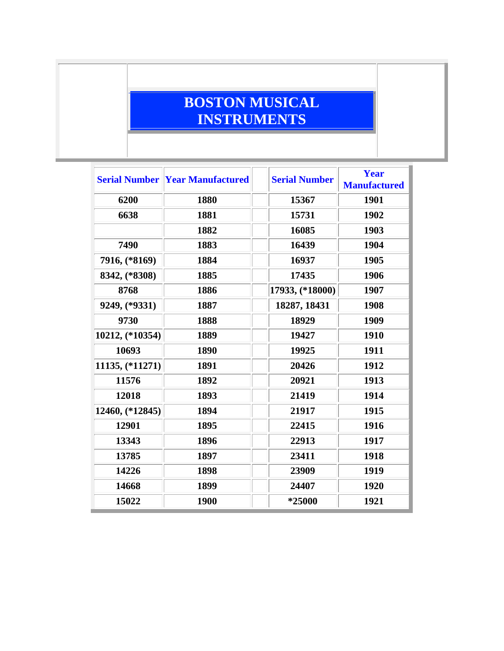## **BOSTON MUSICAL INSTRUMENTS**

|                 | <b>Serial Number Year Manufactured</b> | <b>Serial Number</b> | <b>Year</b><br><b>Manufactured</b> |
|-----------------|----------------------------------------|----------------------|------------------------------------|
| 6200            | 1880                                   | 15367                | 1901                               |
| 6638            | 1881                                   | 15731                | 1902                               |
|                 | 1882                                   | 16085                | 1903                               |
| 7490            | 1883                                   | 16439                | 1904                               |
| 7916, (*8169)   | 1884                                   | 16937                | 1905                               |
| 8342, (*8308)   | 1885                                   | 17435                | 1906                               |
| 8768            | 1886                                   | 17933, (*18000)      | 1907                               |
| 9249, (*9331)   | 1887                                   | 18287, 18431         | 1908                               |
| 9730            | 1888                                   | 18929                | 1909                               |
| 10212, (*10354) | 1889                                   | 19427                | 1910                               |
| 10693           | 1890                                   | 19925                | 1911                               |
| 11135, (*11271) | 1891                                   | 20426                | 1912                               |
| 11576           | 1892                                   | 20921                | 1913                               |
| 12018           | 1893                                   | 21419                | 1914                               |
| 12460, (*12845) | 1894                                   | 21917                | 1915                               |
| 12901           | 1895                                   | 22415                | 1916                               |
| 13343           | 1896                                   | 22913                | 1917                               |
| 13785           | 1897                                   | 23411                | 1918                               |
| 14226           | 1898                                   | 23909                | 1919                               |
| 14668           | 1899                                   | 24407                | 1920                               |
| 15022           | 1900                                   | *25000               | 1921                               |